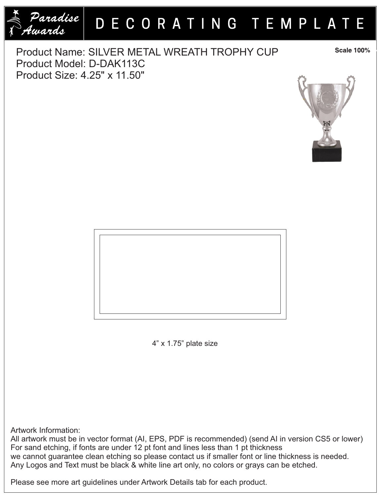

## DECORATING TEMPLATE

Product Name: SILVER METAL WREATH TROPHY CUP Product Model: D-DAK113C Product Size: 4.25" x 11.50"

**Scale 100%** 





4" x 1.75" plate size

Artwork Information:

All artwork must be in vector format (AI, EPS, PDF is recommended) (send AI in version CS5 or lower) For sand etching, if fonts are under 12 pt font and lines less than 1 pt thickness we cannot guarantee clean etching so please contact us if smaller font or line thickness is needed. Any Logos and Text must be black & white line art only, no colors or grays can be etched.

Please see more art guidelines under Artwork Details tab for each product.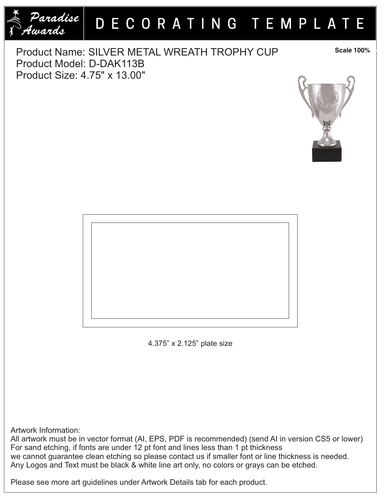

## DECORATING TEMPLATE

Product Name: SILVER METAL WREATH TROPHY CUP Product Model: D-DAK113B Product Size: 4.75" x 13.00"

**Scale 100%** 





4.375" x 2.125" plate size

Artwork Information:

All artwork must be in vector format (AI, EPS, PDF is recommended) (send AI in version CS5 or lower) For sand etching, if fonts are under 12 pt font and lines less than 1 pt thickness we cannot guarantee clean etching so please contact us if smaller font or line thickness is needed. Any Logos and Text must be black & white line art only, no colors or grays can be etched.

Please see more art guidelines under Artwork Details tab for each product.